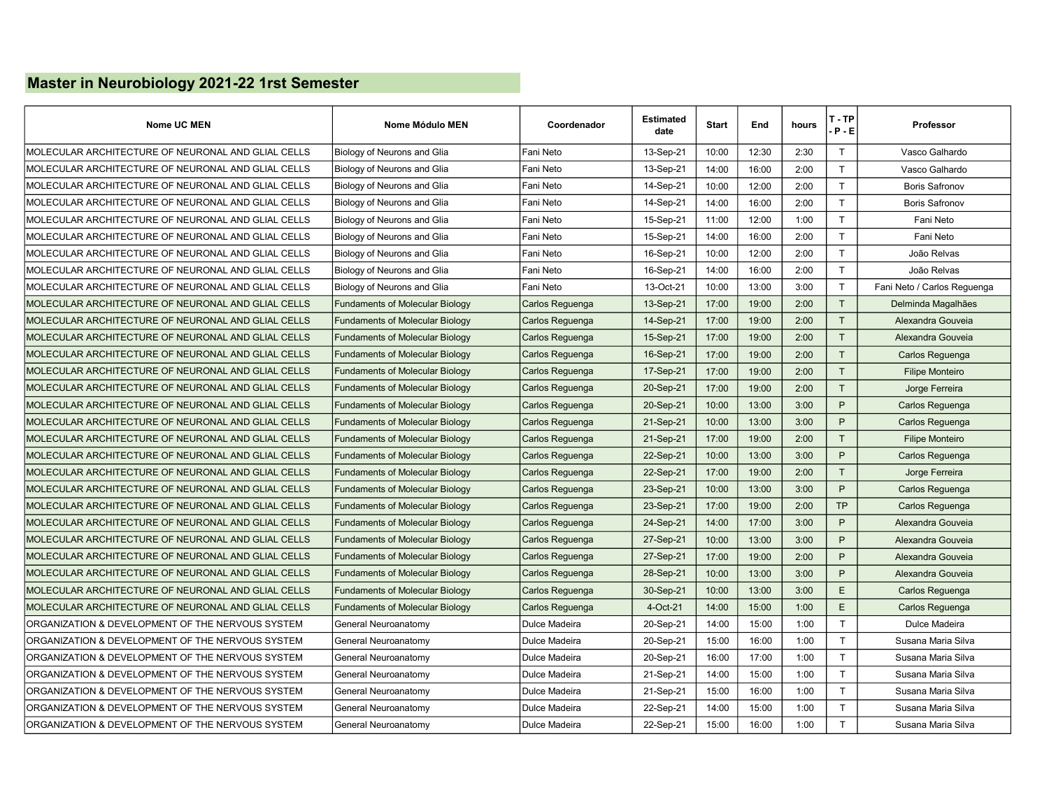## Master in Neurobiology 2021-22 1rst Semester

| <b>Nome UC MEN</b>                                 | Nome Módulo MEN                        | Coordenador     | <b>Estimated</b><br>date | <b>Start</b> | End   | hours | T - TP<br>$P - E$ | <b>Professor</b>            |
|----------------------------------------------------|----------------------------------------|-----------------|--------------------------|--------------|-------|-------|-------------------|-----------------------------|
| MOLECULAR ARCHITECTURE OF NEURONAL AND GLIAL CELLS | Biology of Neurons and Glia            | Fani Neto       | 13-Sep-21                | 10:00        | 12:30 | 2:30  | $\mathsf{T}$      | Vasco Galhardo              |
| MOLECULAR ARCHITECTURE OF NEURONAL AND GLIAL CELLS | Biology of Neurons and Glia            | Fani Neto       | 13-Sep-21                | 14:00        | 16:00 | 2:00  | $\mathsf{T}$      | Vasco Galhardo              |
| MOLECULAR ARCHITECTURE OF NEURONAL AND GLIAL CELLS | Biology of Neurons and Glia            | Fani Neto       | 14-Sep-21                | 10:00        | 12:00 | 2:00  | $\mathsf{T}$      | <b>Boris Safronov</b>       |
| MOLECULAR ARCHITECTURE OF NEURONAL AND GLIAL CELLS | Biology of Neurons and Glia            | Fani Neto       | 14-Sep-21                | 14:00        | 16:00 | 2:00  | $\mathsf{T}$      | <b>Boris Safronov</b>       |
| MOLECULAR ARCHITECTURE OF NEURONAL AND GLIAL CELLS | Biology of Neurons and Glia            | Fani Neto       | 15-Sep-21                | 11:00        | 12:00 | 1:00  | $\mathsf{T}$      | Fani Neto                   |
| MOLECULAR ARCHITECTURE OF NEURONAL AND GLIAL CELLS | Biology of Neurons and Glia            | Fani Neto       | 15-Sep-21                | 14:00        | 16:00 | 2:00  | $\mathsf{T}$      | Fani Neto                   |
| MOLECULAR ARCHITECTURE OF NEURONAL AND GLIAL CELLS | Biology of Neurons and Glia            | Fani Neto       | 16-Sep-21                | 10:00        | 12:00 | 2:00  | $\mathsf{T}$      | João Relvas                 |
| MOLECULAR ARCHITECTURE OF NEURONAL AND GLIAL CELLS | Biology of Neurons and Glia            | Fani Neto       | 16-Sep-21                | 14:00        | 16:00 | 2:00  | $\mathsf{T}$      | João Relvas                 |
| MOLECULAR ARCHITECTURE OF NEURONAL AND GLIAL CELLS | Biology of Neurons and Glia            | Fani Neto       | 13-Oct-21                | 10:00        | 13:00 | 3:00  | $\mathsf{T}$      | Fani Neto / Carlos Reguenga |
| MOLECULAR ARCHITECTURE OF NEURONAL AND GLIAL CELLS | <b>Fundaments of Molecular Biology</b> | Carlos Reguenga | 13-Sep-21                | 17:00        | 19:00 | 2:00  | T                 | Delminda Magalhães          |
| MOLECULAR ARCHITECTURE OF NEURONAL AND GLIAL CELLS | <b>Fundaments of Molecular Biology</b> | Carlos Reguenga | 14-Sep-21                | 17:00        | 19:00 | 2:00  | T                 | Alexandra Gouveia           |
| MOLECULAR ARCHITECTURE OF NEURONAL AND GLIAL CELLS | <b>Fundaments of Molecular Biology</b> | Carlos Reguenga | 15-Sep-21                | 17:00        | 19:00 | 2:00  | T                 | Alexandra Gouveia           |
| MOLECULAR ARCHITECTURE OF NEURONAL AND GLIAL CELLS | <b>Fundaments of Molecular Biology</b> | Carlos Reguenga | 16-Sep-21                | 17:00        | 19:00 | 2:00  | T                 | Carlos Reguenga             |
| MOLECULAR ARCHITECTURE OF NEURONAL AND GLIAL CELLS | <b>Fundaments of Molecular Biology</b> | Carlos Reguenga | 17-Sep-21                | 17:00        | 19:00 | 2:00  | $\mathsf{T}$      | <b>Filipe Monteiro</b>      |
| MOLECULAR ARCHITECTURE OF NEURONAL AND GLIAL CELLS | <b>Fundaments of Molecular Biology</b> | Carlos Reguenga | 20-Sep-21                | 17:00        | 19:00 | 2:00  | T                 | Jorge Ferreira              |
| MOLECULAR ARCHITECTURE OF NEURONAL AND GLIAL CELLS | <b>Fundaments of Molecular Biology</b> | Carlos Reguenga | 20-Sep-21                | 10:00        | 13:00 | 3:00  | P                 | Carlos Reguenga             |
| MOLECULAR ARCHITECTURE OF NEURONAL AND GLIAL CELLS | <b>Fundaments of Molecular Biology</b> | Carlos Reguenga | 21-Sep-21                | 10:00        | 13:00 | 3:00  | P                 | Carlos Reguenga             |
| MOLECULAR ARCHITECTURE OF NEURONAL AND GLIAL CELLS | <b>Fundaments of Molecular Biology</b> | Carlos Reguenga | 21-Sep-21                | 17:00        | 19:00 | 2:00  | $\mathsf{T}$      | <b>Filipe Monteiro</b>      |
| MOLECULAR ARCHITECTURE OF NEURONAL AND GLIAL CELLS | <b>Fundaments of Molecular Biology</b> | Carlos Reguenga | 22-Sep-21                | 10:00        | 13:00 | 3:00  | P                 | Carlos Reguenga             |
| MOLECULAR ARCHITECTURE OF NEURONAL AND GLIAL CELLS | <b>Fundaments of Molecular Biology</b> | Carlos Reguenga | 22-Sep-21                | 17:00        | 19:00 | 2:00  | $\mathsf{T}$      | Jorge Ferreira              |
| MOLECULAR ARCHITECTURE OF NEURONAL AND GLIAL CELLS | <b>Fundaments of Molecular Biology</b> | Carlos Reguenga | 23-Sep-21                | 10:00        | 13:00 | 3:00  | P                 | Carlos Reguenga             |
| MOLECULAR ARCHITECTURE OF NEURONAL AND GLIAL CELLS | <b>Fundaments of Molecular Biology</b> | Carlos Reguenga | 23-Sep-21                | 17:00        | 19:00 | 2:00  | <b>TP</b>         | Carlos Reguenga             |
| MOLECULAR ARCHITECTURE OF NEURONAL AND GLIAL CELLS | <b>Fundaments of Molecular Biology</b> | Carlos Reguenga | 24-Sep-21                | 14:00        | 17:00 | 3:00  | P                 | Alexandra Gouveia           |
| MOLECULAR ARCHITECTURE OF NEURONAL AND GLIAL CELLS | <b>Fundaments of Molecular Biology</b> | Carlos Reguenga | 27-Sep-21                | 10:00        | 13:00 | 3:00  | P                 | Alexandra Gouveia           |
| MOLECULAR ARCHITECTURE OF NEURONAL AND GLIAL CELLS | <b>Fundaments of Molecular Biology</b> | Carlos Reguenga | 27-Sep-21                | 17:00        | 19:00 | 2:00  | P                 | Alexandra Gouveia           |
| MOLECULAR ARCHITECTURE OF NEURONAL AND GLIAL CELLS | <b>Fundaments of Molecular Biology</b> | Carlos Reguenga | 28-Sep-21                | 10:00        | 13:00 | 3:00  | P                 | Alexandra Gouveia           |
| MOLECULAR ARCHITECTURE OF NEURONAL AND GLIAL CELLS | <b>Fundaments of Molecular Biology</b> | Carlos Reguenga | 30-Sep-21                | 10:00        | 13:00 | 3:00  | E                 | Carlos Reguenga             |
| MOLECULAR ARCHITECTURE OF NEURONAL AND GLIAL CELLS | <b>Fundaments of Molecular Biology</b> | Carlos Reguenga | 4-Oct-21                 | 14:00        | 15:00 | 1:00  | E                 | Carlos Reguenga             |
| ORGANIZATION & DEVELOPMENT OF THE NERVOUS SYSTEM   | General Neuroanatomy                   | Dulce Madeira   | 20-Sep-21                | 14:00        | 15:00 | 1:00  | $\mathsf{T}$      | Dulce Madeira               |
| ORGANIZATION & DEVELOPMENT OF THE NERVOUS SYSTEM   | General Neuroanatomy                   | Dulce Madeira   | 20-Sep-21                | 15:00        | 16:00 | 1:00  | $\mathsf{T}$      | Susana Maria Silva          |
| ORGANIZATION & DEVELOPMENT OF THE NERVOUS SYSTEM   | General Neuroanatomy                   | Dulce Madeira   | 20-Sep-21                | 16:00        | 17:00 | 1:00  | $\mathsf{T}$      | Susana Maria Silva          |
| ORGANIZATION & DEVELOPMENT OF THE NERVOUS SYSTEM   | General Neuroanatomy                   | Dulce Madeira   | 21-Sep-21                | 14:00        | 15:00 | 1:00  | T                 | Susana Maria Silva          |
| ORGANIZATION & DEVELOPMENT OF THE NERVOUS SYSTEM   | General Neuroanatomy                   | Dulce Madeira   | 21-Sep-21                | 15:00        | 16:00 | 1:00  | $\mathsf{T}$      | Susana Maria Silva          |
| ORGANIZATION & DEVELOPMENT OF THE NERVOUS SYSTEM   | General Neuroanatomy                   | Dulce Madeira   | 22-Sep-21                | 14:00        | 15:00 | 1:00  | $\mathsf{T}$      | Susana Maria Silva          |
| ORGANIZATION & DEVELOPMENT OF THE NERVOUS SYSTEM   | General Neuroanatomy                   | Dulce Madeira   | 22-Sep-21                | 15:00        | 16:00 | 1:00  | $\mathsf{T}$      | Susana Maria Silva          |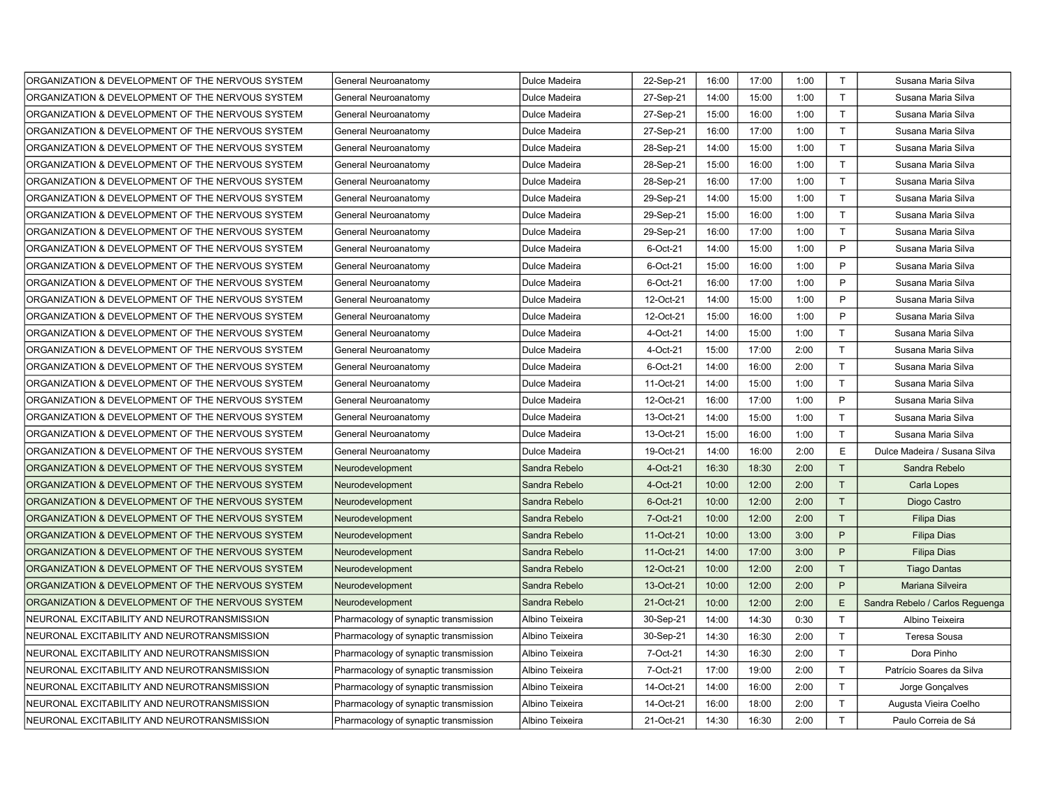| ORGANIZATION & DEVELOPMENT OF THE NERVOUS SYSTEM | General Neuroanatomy                  | Dulce Madeira   | 22-Sep-21 | 16:00 | 17:00 | 1:00 | $\mathsf{T}$ | Susana Maria Silva              |
|--------------------------------------------------|---------------------------------------|-----------------|-----------|-------|-------|------|--------------|---------------------------------|
| ORGANIZATION & DEVELOPMENT OF THE NERVOUS SYSTEM | General Neuroanatomy                  | Dulce Madeira   | 27-Sep-21 | 14:00 | 15:00 | 1:00 | $\mathsf{T}$ | Susana Maria Silva              |
| ORGANIZATION & DEVELOPMENT OF THE NERVOUS SYSTEM | General Neuroanatomy                  | Dulce Madeira   | 27-Sep-21 | 15:00 | 16:00 | 1:00 | $\mathsf T$  | Susana Maria Silva              |
| ORGANIZATION & DEVELOPMENT OF THE NERVOUS SYSTEM | General Neuroanatomy                  | Dulce Madeira   | 27-Sep-21 | 16:00 | 17:00 | 1:00 | $\top$       | Susana Maria Silva              |
| ORGANIZATION & DEVELOPMENT OF THE NERVOUS SYSTEM | General Neuroanatomy                  | Dulce Madeira   | 28-Sep-21 | 14:00 | 15:00 | 1:00 | $\mathsf{T}$ | Susana Maria Silva              |
| ORGANIZATION & DEVELOPMENT OF THE NERVOUS SYSTEM | General Neuroanatomy                  | Dulce Madeira   | 28-Sep-21 | 15:00 | 16:00 | 1:00 | $\mathsf{T}$ | Susana Maria Silva              |
| ORGANIZATION & DEVELOPMENT OF THE NERVOUS SYSTEM | General Neuroanatomy                  | Dulce Madeira   | 28-Sep-21 | 16:00 | 17:00 | 1:00 | $\mathsf{T}$ | Susana Maria Silva              |
| ORGANIZATION & DEVELOPMENT OF THE NERVOUS SYSTEM | General Neuroanatomy                  | Dulce Madeira   | 29-Sep-21 | 14:00 | 15:00 | 1:00 | $\mathsf{T}$ | Susana Maria Silva              |
| ORGANIZATION & DEVELOPMENT OF THE NERVOUS SYSTEM | General Neuroanatomy                  | Dulce Madeira   | 29-Sep-21 | 15:00 | 16:00 | 1:00 | T.           | Susana Maria Silva              |
| ORGANIZATION & DEVELOPMENT OF THE NERVOUS SYSTEM | General Neuroanatomy                  | Dulce Madeira   | 29-Sep-21 | 16:00 | 17:00 | 1:00 | T.           | Susana Maria Silva              |
| ORGANIZATION & DEVELOPMENT OF THE NERVOUS SYSTEM | General Neuroanatomy                  | Dulce Madeira   | 6-Oct-21  | 14:00 | 15:00 | 1:00 | P            | Susana Maria Silva              |
| ORGANIZATION & DEVELOPMENT OF THE NERVOUS SYSTEM | General Neuroanatomy                  | Dulce Madeira   | 6-Oct-21  | 15:00 | 16:00 | 1:00 | P            | Susana Maria Silva              |
| ORGANIZATION & DEVELOPMENT OF THE NERVOUS SYSTEM | General Neuroanatomy                  | Dulce Madeira   | 6-Oct-21  | 16:00 | 17:00 | 1:00 | P            | Susana Maria Silva              |
| ORGANIZATION & DEVELOPMENT OF THE NERVOUS SYSTEM | General Neuroanatomy                  | Dulce Madeira   | 12-Oct-21 | 14:00 | 15:00 | 1:00 | P            | Susana Maria Silva              |
| ORGANIZATION & DEVELOPMENT OF THE NERVOUS SYSTEM | General Neuroanatomy                  | Dulce Madeira   | 12-Oct-21 | 15:00 | 16:00 | 1:00 | P            | Susana Maria Silva              |
| ORGANIZATION & DEVELOPMENT OF THE NERVOUS SYSTEM | General Neuroanatomy                  | Dulce Madeira   | 4-Oct-21  | 14:00 | 15:00 | 1:00 | $\mathsf{T}$ | Susana Maria Silva              |
| ORGANIZATION & DEVELOPMENT OF THE NERVOUS SYSTEM | General Neuroanatomy                  | Dulce Madeira   | 4-Oct-21  | 15:00 | 17:00 | 2:00 | $\mathsf{T}$ | Susana Maria Silva              |
| ORGANIZATION & DEVELOPMENT OF THE NERVOUS SYSTEM | General Neuroanatomy                  | Dulce Madeira   | 6-Oct-21  | 14:00 | 16:00 | 2:00 | T            | Susana Maria Silva              |
| ORGANIZATION & DEVELOPMENT OF THE NERVOUS SYSTEM | General Neuroanatomy                  | Dulce Madeira   | 11-Oct-21 | 14:00 | 15:00 | 1:00 | $\mathsf{T}$ | Susana Maria Silva              |
| ORGANIZATION & DEVELOPMENT OF THE NERVOUS SYSTEM | General Neuroanatomy                  | Dulce Madeira   | 12-Oct-21 | 16:00 | 17:00 | 1:00 | P            | Susana Maria Silva              |
| ORGANIZATION & DEVELOPMENT OF THE NERVOUS SYSTEM | General Neuroanatomy                  | Dulce Madeira   | 13-Oct-21 | 14:00 | 15:00 | 1:00 | T            | Susana Maria Silva              |
| ORGANIZATION & DEVELOPMENT OF THE NERVOUS SYSTEM | General Neuroanatomy                  | Dulce Madeira   | 13-Oct-21 | 15:00 | 16:00 | 1:00 | T.           | Susana Maria Silva              |
| ORGANIZATION & DEVELOPMENT OF THE NERVOUS SYSTEM | General Neuroanatomy                  | Dulce Madeira   | 19-Oct-21 | 14:00 | 16:00 | 2:00 | E            | Dulce Madeira / Susana Silva    |
| ORGANIZATION & DEVELOPMENT OF THE NERVOUS SYSTEM | Neurodevelopment                      | Sandra Rebelo   | 4-Oct-21  | 16:30 | 18:30 | 2:00 | T            | Sandra Rebelo                   |
| ORGANIZATION & DEVELOPMENT OF THE NERVOUS SYSTEM | Neurodevelopment                      | Sandra Rebelo   | 4-Oct-21  | 10:00 | 12:00 | 2:00 | T            | Carla Lopes                     |
| ORGANIZATION & DEVELOPMENT OF THE NERVOUS SYSTEM | Neurodevelopment                      | Sandra Rebelo   | 6-Oct-21  | 10:00 | 12:00 | 2:00 | T            | Diogo Castro                    |
| ORGANIZATION & DEVELOPMENT OF THE NERVOUS SYSTEM | Neurodevelopment                      | Sandra Rebelo   | 7-Oct-21  | 10:00 | 12:00 | 2:00 | T            | <b>Filipa Dias</b>              |
| ORGANIZATION & DEVELOPMENT OF THE NERVOUS SYSTEM | Neurodevelopment                      | Sandra Rebelo   | 11-Oct-21 | 10:00 | 13:00 | 3:00 | P            | <b>Filipa Dias</b>              |
| ORGANIZATION & DEVELOPMENT OF THE NERVOUS SYSTEM | Neurodevelopment                      | Sandra Rebelo   | 11-Oct-21 | 14:00 | 17:00 | 3:00 | P            | <b>Filipa Dias</b>              |
| ORGANIZATION & DEVELOPMENT OF THE NERVOUS SYSTEM | Neurodevelopment                      | Sandra Rebelo   | 12-Oct-21 | 10:00 | 12:00 | 2:00 | T            | <b>Tiago Dantas</b>             |
| ORGANIZATION & DEVELOPMENT OF THE NERVOUS SYSTEM | Neurodevelopment                      | Sandra Rebelo   | 13-Oct-21 | 10:00 | 12:00 | 2:00 | P            | Mariana Silveira                |
| ORGANIZATION & DEVELOPMENT OF THE NERVOUS SYSTEM | Neurodevelopment                      | Sandra Rebelo   | 21-Oct-21 | 10:00 | 12:00 | 2:00 | E            | Sandra Rebelo / Carlos Reguenga |
| NEURONAL EXCITABILITY AND NEUROTRANSMISSION      | Pharmacology of synaptic transmission | Albino Teixeira | 30-Sep-21 | 14:00 | 14:30 | 0:30 | $\mathsf{T}$ | Albino Teixeira                 |
| NEURONAL EXCITABILITY AND NEUROTRANSMISSION      | Pharmacology of synaptic transmission | Albino Teixeira | 30-Sep-21 | 14:30 | 16:30 | 2:00 | $\mathsf{T}$ | Teresa Sousa                    |
| NEURONAL EXCITABILITY AND NEUROTRANSMISSION      | Pharmacology of synaptic transmission | Albino Teixeira | 7-Oct-21  | 14:30 | 16:30 | 2:00 | $\mathsf{T}$ | Dora Pinho                      |
| NEURONAL EXCITABILITY AND NEUROTRANSMISSION      | Pharmacology of synaptic transmission | Albino Teixeira | 7-Oct-21  | 17:00 | 19:00 | 2:00 | $\mathsf{T}$ | Patrício Soares da Silva        |
| NEURONAL EXCITABILITY AND NEUROTRANSMISSION      | Pharmacology of synaptic transmission | Albino Teixeira | 14-Oct-21 | 14:00 | 16:00 | 2:00 | $\mathsf{T}$ | Jorge Gonçalves                 |
| NEURONAL EXCITABILITY AND NEUROTRANSMISSION      | Pharmacology of synaptic transmission | Albino Teixeira | 14-Oct-21 | 16:00 | 18:00 | 2:00 | $\mathsf{T}$ | Augusta Vieira Coelho           |
| NEURONAL EXCITABILITY AND NEUROTRANSMISSION      | Pharmacology of synaptic transmission | Albino Teixeira | 21-Oct-21 | 14:30 | 16:30 | 2:00 | T.           | Paulo Correia de Sá             |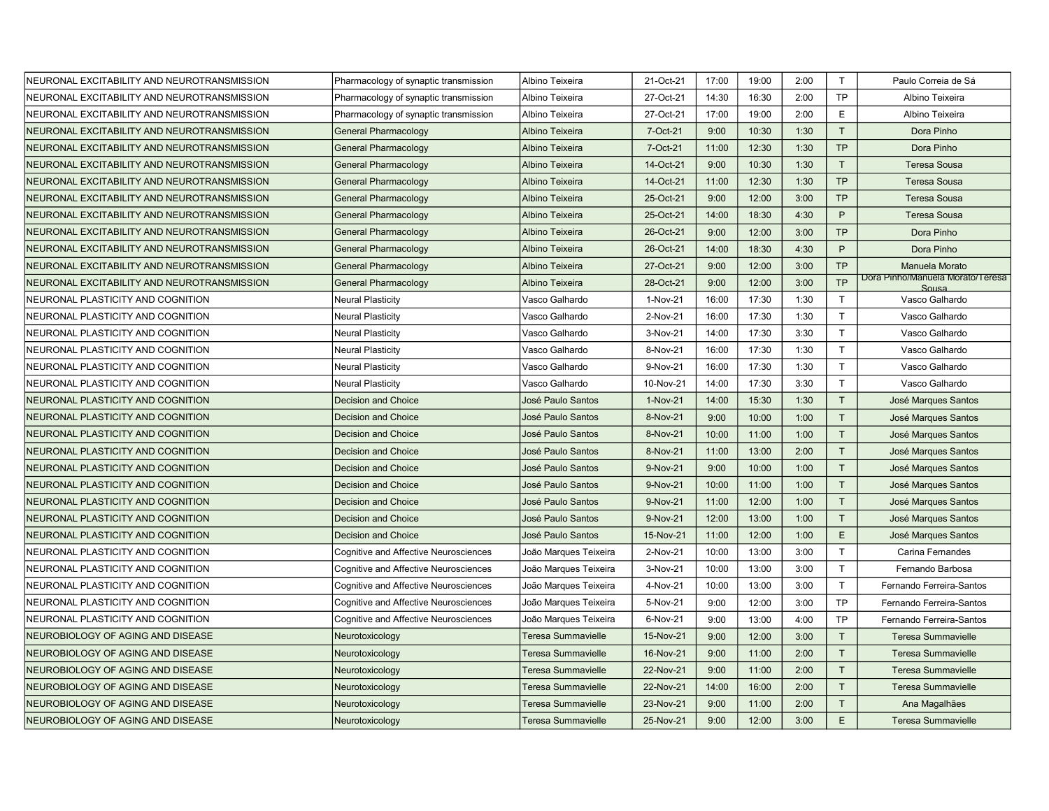| NEURONAL EXCITABILITY AND NEUROTRANSMISSION | Pharmacology of synaptic transmission | Albino Teixeira           | 21-Oct-21 | 17:00 | 19:00 | 2:00 | $\mathsf{T}$ | Paulo Correia de Sá                       |
|---------------------------------------------|---------------------------------------|---------------------------|-----------|-------|-------|------|--------------|-------------------------------------------|
| NEURONAL EXCITABILITY AND NEUROTRANSMISSION | Pharmacology of synaptic transmission | Albino Teixeira           | 27-Oct-21 | 14:30 | 16:30 | 2:00 | <b>TP</b>    | Albino Teixeira                           |
| NEURONAL EXCITABILITY AND NEUROTRANSMISSION | Pharmacology of synaptic transmission | Albino Teixeira           | 27-Oct-21 | 17:00 | 19:00 | 2:00 | E            | Albino Teixeira                           |
| NEURONAL EXCITABILITY AND NEUROTRANSMISSION | <b>General Pharmacology</b>           | Albino Teixeira           | 7-Oct-21  | 9:00  | 10:30 | 1:30 | T            | Dora Pinho                                |
| NEURONAL EXCITABILITY AND NEUROTRANSMISSION | <b>General Pharmacology</b>           | Albino Teixeira           | 7-Oct-21  | 11:00 | 12:30 | 1:30 | <b>TP</b>    | Dora Pinho                                |
| NEURONAL EXCITABILITY AND NEUROTRANSMISSION | <b>General Pharmacology</b>           | Albino Teixeira           | 14-Oct-21 | 9:00  | 10:30 | 1:30 | T            | <b>Teresa Sousa</b>                       |
| NEURONAL EXCITABILITY AND NEUROTRANSMISSION | <b>General Pharmacology</b>           | Albino Teixeira           | 14-Oct-21 | 11:00 | 12:30 | 1:30 | <b>TP</b>    | <b>Teresa Sousa</b>                       |
| NEURONAL EXCITABILITY AND NEUROTRANSMISSION | <b>General Pharmacology</b>           | Albino Teixeira           | 25-Oct-21 | 9:00  | 12:00 | 3:00 | <b>TP</b>    | <b>Teresa Sousa</b>                       |
| NEURONAL EXCITABILITY AND NEUROTRANSMISSION | <b>General Pharmacology</b>           | Albino Teixeira           | 25-Oct-21 | 14:00 | 18:30 | 4:30 | P            | <b>Teresa Sousa</b>                       |
| NEURONAL EXCITABILITY AND NEUROTRANSMISSION | <b>General Pharmacology</b>           | Albino Teixeira           | 26-Oct-21 | 9:00  | 12:00 | 3:00 | <b>TP</b>    | Dora Pinho                                |
| NEURONAL EXCITABILITY AND NEUROTRANSMISSION | <b>General Pharmacology</b>           | Albino Teixeira           | 26-Oct-21 | 14:00 | 18:30 | 4:30 | P            | Dora Pinho                                |
| NEURONAL EXCITABILITY AND NEUROTRANSMISSION | <b>General Pharmacology</b>           | Albino Teixeira           | 27-Oct-21 | 9:00  | 12:00 | 3:00 | <b>TP</b>    | Manuela Morato                            |
| NEURONAL EXCITABILITY AND NEUROTRANSMISSION | <b>General Pharmacology</b>           | Albino Teixeira           | 28-Oct-21 | 9:00  | 12:00 | 3:00 | <b>TP</b>    | Dora Pinho/Manuela Morato/Teresa<br>Sousa |
| NEURONAL PLASTICITY AND COGNITION           | <b>Neural Plasticity</b>              | Vasco Galhardo            | 1-Nov-21  | 16:00 | 17:30 | 1:30 | T            | Vasco Galhardo                            |
| NEURONAL PLASTICITY AND COGNITION           | <b>Neural Plasticity</b>              | Vasco Galhardo            | 2-Nov-21  | 16:00 | 17:30 | 1:30 | T            | Vasco Galhardo                            |
| NEURONAL PLASTICITY AND COGNITION           | <b>Neural Plasticity</b>              | Vasco Galhardo            | 3-Nov-21  | 14:00 | 17:30 | 3:30 | $\mathsf{T}$ | Vasco Galhardo                            |
| NEURONAL PLASTICITY AND COGNITION           | Neural Plasticity                     | Vasco Galhardo            | 8-Nov-21  | 16:00 | 17:30 | 1:30 | $\mathsf{T}$ | Vasco Galhardo                            |
| NEURONAL PLASTICITY AND COGNITION           | <b>Neural Plasticity</b>              | Vasco Galhardo            | 9-Nov-21  | 16:00 | 17:30 | 1:30 | $\mathsf{T}$ | Vasco Galhardo                            |
| NEURONAL PLASTICITY AND COGNITION           | Neural Plasticity                     | Vasco Galhardo            | 10-Nov-21 | 14:00 | 17:30 | 3:30 | $\mathsf{T}$ | Vasco Galhardo                            |
| NEURONAL PLASTICITY AND COGNITION           | <b>Decision and Choice</b>            | José Paulo Santos         | 1-Nov-21  | 14:00 | 15:30 | 1:30 | T            | José Marques Santos                       |
| NEURONAL PLASTICITY AND COGNITION           | <b>Decision and Choice</b>            | José Paulo Santos         | 8-Nov-21  | 9:00  | 10:00 | 1:00 | T            | José Marques Santos                       |
| NEURONAL PLASTICITY AND COGNITION           | <b>Decision and Choice</b>            | José Paulo Santos         | 8-Nov-21  | 10:00 | 11:00 | 1:00 | T            | José Marques Santos                       |
| NEURONAL PLASTICITY AND COGNITION           | <b>Decision and Choice</b>            | José Paulo Santos         | 8-Nov-21  | 11:00 | 13:00 | 2:00 | T            | José Marques Santos                       |
| NEURONAL PLASTICITY AND COGNITION           | <b>Decision and Choice</b>            | José Paulo Santos         | 9-Nov-21  | 9:00  | 10:00 | 1:00 | T.           | José Marques Santos                       |
| NEURONAL PLASTICITY AND COGNITION           | <b>Decision and Choice</b>            | José Paulo Santos         | 9-Nov-21  | 10:00 | 11:00 | 1:00 | T            | José Marques Santos                       |
| NEURONAL PLASTICITY AND COGNITION           | <b>Decision and Choice</b>            | José Paulo Santos         | 9-Nov-21  | 11:00 | 12:00 | 1:00 | T            | José Marques Santos                       |
| NEURONAL PLASTICITY AND COGNITION           | <b>Decision and Choice</b>            | José Paulo Santos         | 9-Nov-21  | 12:00 | 13:00 | 1:00 | $\mathsf{T}$ | José Marques Santos                       |
| NEURONAL PLASTICITY AND COGNITION           | <b>Decision and Choice</b>            | José Paulo Santos         | 15-Nov-21 | 11:00 | 12:00 | 1:00 | E            | José Marques Santos                       |
| NEURONAL PLASTICITY AND COGNITION           | Cognitive and Affective Neurosciences | João Marques Teixeira     | 2-Nov-21  | 10:00 | 13:00 | 3:00 | $\mathsf{T}$ | Carina Fernandes                          |
| NEURONAL PLASTICITY AND COGNITION           | Cognitive and Affective Neurosciences | João Marques Teixeira     | 3-Nov-21  | 10:00 | 13:00 | 3:00 | T            | Fernando Barbosa                          |
| NEURONAL PLASTICITY AND COGNITION           | Cognitive and Affective Neurosciences | João Marques Teixeira     | 4-Nov-21  | 10:00 | 13:00 | 3:00 | T.           | Fernando Ferreira-Santos                  |
| NEURONAL PLASTICITY AND COGNITION           | Cognitive and Affective Neurosciences | João Marques Teixeira     | 5-Nov-21  | 9:00  | 12:00 | 3:00 | <b>TP</b>    | Fernando Ferreira-Santos                  |
| NEURONAL PLASTICITY AND COGNITION           | Cognitive and Affective Neurosciences | João Marques Teixeira     | 6-Nov-21  | 9:00  | 13:00 | 4:00 | <b>TP</b>    | Fernando Ferreira-Santos                  |
| NEUROBIOLOGY OF AGING AND DISEASE           | Neurotoxicology                       | <b>Teresa Summavielle</b> | 15-Nov-21 | 9:00  | 12:00 | 3:00 | T            | <b>Teresa Summavielle</b>                 |
| NEUROBIOLOGY OF AGING AND DISEASE           | Neurotoxicology                       | <b>Teresa Summavielle</b> | 16-Nov-21 | 9:00  | 11:00 | 2:00 | T            | <b>Teresa Summavielle</b>                 |
| NEUROBIOLOGY OF AGING AND DISEASE           | Neurotoxicology                       | Teresa Summavielle        | 22-Nov-21 | 9:00  | 11:00 | 2:00 | T            | <b>Teresa Summavielle</b>                 |
| NEUROBIOLOGY OF AGING AND DISEASE           | Neurotoxicology                       | <b>Teresa Summavielle</b> | 22-Nov-21 | 14:00 | 16:00 | 2:00 | $\mathsf{T}$ | <b>Teresa Summavielle</b>                 |
| NEUROBIOLOGY OF AGING AND DISEASE           | Neurotoxicology                       | Teresa Summavielle        | 23-Nov-21 | 9:00  | 11:00 | 2:00 | T            | Ana Magalhães                             |
| NEUROBIOLOGY OF AGING AND DISEASE           | Neurotoxicology                       | <b>Teresa Summavielle</b> | 25-Nov-21 | 9:00  | 12:00 | 3:00 | E            | <b>Teresa Summavielle</b>                 |